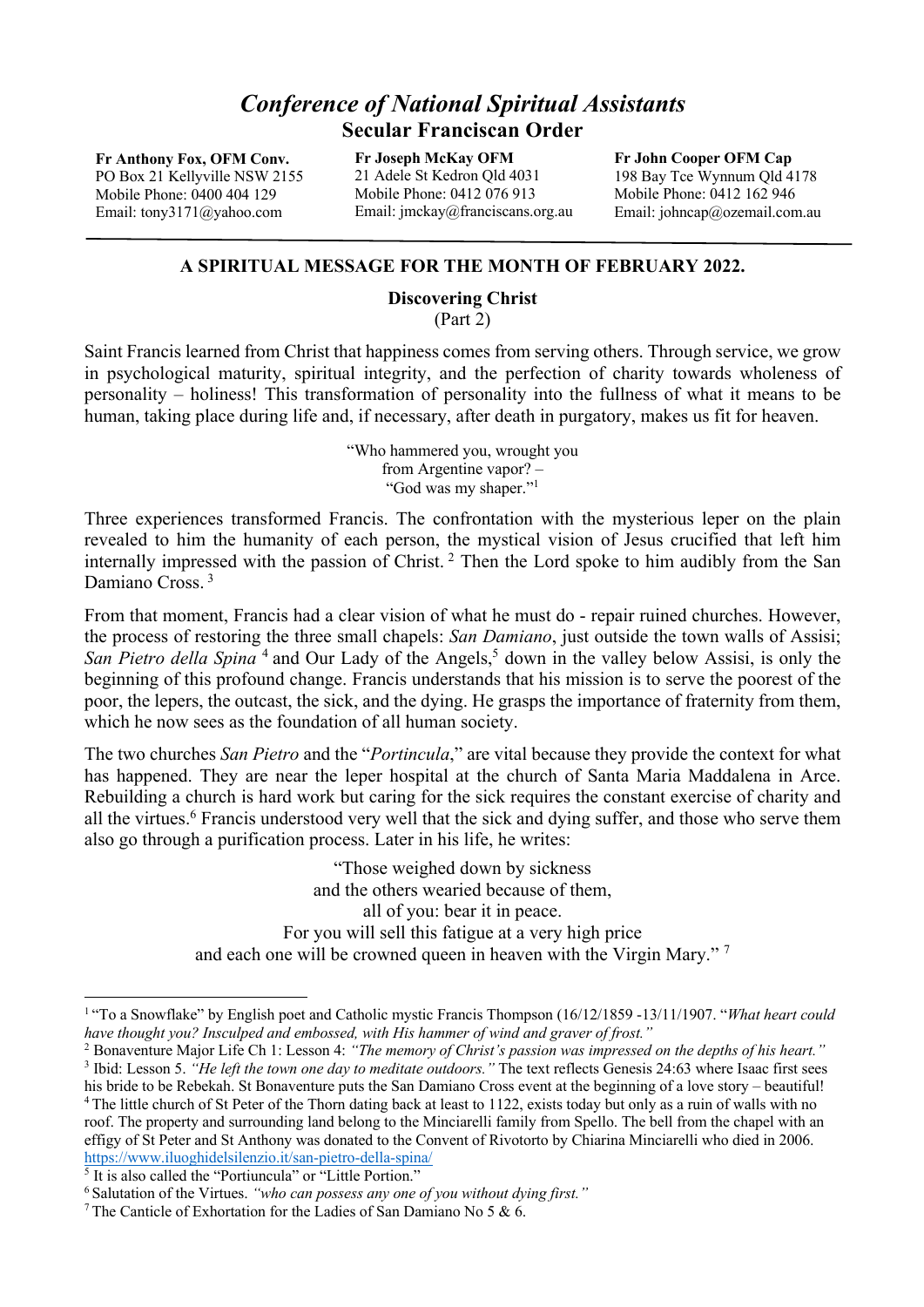## *Conference of National Spiritual Assistants*  **Secular Franciscan Order**

**Fr Anthony Fox, OFM Conv.** PO Box 21 Kellyville NSW 2155 Mobile Phone: 0400 404 129 Email: tony3171@yahoo.com

**Fr Joseph McKay OFM** 21 Adele St Kedron Qld 4031 Mobile Phone: 0412 076 913 Email: jmckay@franciscans.org.au

**Fr John Cooper OFM Cap** 198 Bay Tce Wynnum Qld 4178 Mobile Phone: 0412 162 946 Email: johncap@ozemail.com.au

## **A SPIRITUAL MESSAGE FOR THE MONTH OF FEBRUARY 2022.**

## **Discovering Christ**

(Part 2)

Saint Francis learned from Christ that happiness comes from serving others. Through service, we grow in psychological maturity, spiritual integrity, and the perfection of charity towards wholeness of personality – holiness! This transformation of personality into the fullness of what it means to be human, taking place during life and, if necessary, after death in purgatory, makes us fit for heaven.

> "Who hammered you, wrought you from Argentine vapor? – "God was my shaper."1

Three experiences transformed Francis. The confrontation with the mysterious leper on the plain revealed to him the humanity of each person, the mystical vision of Jesus crucified that left him internally impressed with the passion of Christ. <sup>2</sup> Then the Lord spoke to him audibly from the San Damiano Cross.<sup>3</sup>

From that moment, Francis had a clear vision of what he must do - repair ruined churches. However, the process of restoring the three small chapels: *San Damiano*, just outside the town walls of Assisi; *San Pietro della Spina*<sup>4</sup> and Our Lady of the Angels,<sup>5</sup> down in the valley below Assisi, is only the beginning of this profound change. Francis understands that his mission is to serve the poorest of the poor, the lepers, the outcast, the sick, and the dying. He grasps the importance of fraternity from them, which he now sees as the foundation of all human society.

The two churches *San Pietro* and the "*Portincula*," are vital because they provide the context for what has happened. They are near the leper hospital at the church of Santa Maria Maddalena in Arce. Rebuilding a church is hard work but caring for the sick requires the constant exercise of charity and all the virtues.<sup>6</sup> Francis understood very well that the sick and dying suffer, and those who serve them also go through a purification process. Later in his life, he writes:

> "Those weighed down by sickness and the others wearied because of them, all of you: bear it in peace. For you will sell this fatigue at a very high price and each one will be crowned queen in heaven with the Virgin Mary." 7

<sup>2</sup> Bonaventure Major Life Ch 1: Lesson 4: *"The memory of Christ's passion was impressed on the depths of his heart."* <sup>3</sup> Ibid: Lesson 5. *"He left the town one day to meditate outdoors."* The text reflects Genesis 24:63 where Isaac first sees his bride to be Rebekah. St Bonaventure puts the San Damiano Cross event at the beginning of a love story – beautiful! <sup>4</sup> The little church of St Peter of the Thorn dating back at least to 1122, exists today but only as a ruin of walls with no roof. The property and surrounding land belong to the Minciarelli family from Spello. The bell from the chapel with an effigy of St Peter and St Anthony was donated to the Convent of Rivotorto by Chiarina Minciarelli who died in 2006. https://www.iluoghidelsilenzio.it/san-pietro-della-spina/

<sup>5</sup> It is also called the "Portiuncula" or "Little Portion."

<sup>1</sup> "To a Snowflake" by English poet and Catholic mystic Francis Thompson (16/12/1859 -13/11/1907. "*What heart could have thought you? Insculped and embossed, with His hammer of wind and graver of frost."*

<sup>6</sup> Salutation of the Virtues. *"who can possess any one of you without dying first."*

<sup>&</sup>lt;sup>7</sup> The Canticle of Exhortation for the Ladies of San Damiano No 5 & 6.